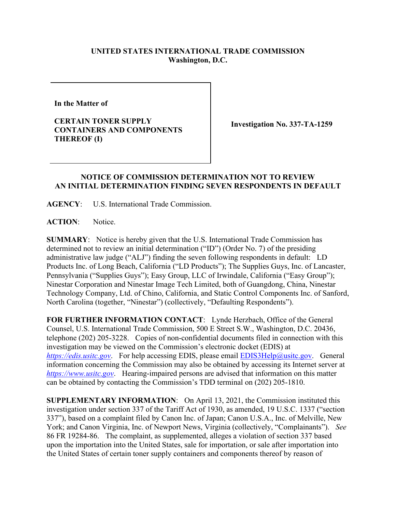## **UNITED STATES INTERNATIONAL TRADE COMMISSION Washington, D.C.**

**In the Matter of** 

**CERTAIN TONER SUPPLY CONTAINERS AND COMPONENTS THEREOF (I)**

**Investigation No. 337-TA-1259**

## **NOTICE OF COMMISSION DETERMINATION NOT TO REVIEW AN INITIAL DETERMINATION FINDING SEVEN RESPONDENTS IN DEFAULT**

**AGENCY**: U.S. International Trade Commission.

**ACTION**: Notice.

**SUMMARY**: Notice is hereby given that the U.S. International Trade Commission has determined not to review an initial determination ("ID") (Order No. 7) of the presiding administrative law judge ("ALJ") finding the seven following respondents in default: LD Products Inc. of Long Beach, California ("LD Products"); The Supplies Guys, Inc. of Lancaster, Pennsylvania ("Supplies Guys"); Easy Group, LLC of Irwindale, California ("Easy Group"); Ninestar Corporation and Ninestar Image Tech Limited, both of Guangdong, China, Ninestar Technology Company, Ltd. of Chino, California, and Static Control Components Inc. of Sanford, North Carolina (together, "Ninestar") (collectively, "Defaulting Respondents").

**FOR FURTHER INFORMATION CONTACT**: Lynde Herzbach, Office of the General Counsel, U.S. International Trade Commission, 500 E Street S.W., Washington, D.C. 20436, telephone (202) 205-3228. Copies of non-confidential documents filed in connection with this investigation may be viewed on the Commission's electronic docket (EDIS) at *[https://edis.usitc.gov](https://edis.usitc.gov/).* For help accessing EDIS, please email [EDIS3Help@usitc.gov.](mailto:EDIS3Help@usitc.gov) General information concerning the Commission may also be obtained by accessing its Internet server at *[https://www.usitc.gov](https://www.usitc.gov/)*. Hearing-impaired persons are advised that information on this matter can be obtained by contacting the Commission's TDD terminal on (202) 205-1810.

**SUPPLEMENTARY INFORMATION**: On April 13, 2021, the Commission instituted this investigation under section 337 of the Tariff Act of 1930, as amended, 19 U.S.C. 1337 ("section 337"), based on a complaint filed by Canon Inc. of Japan; Canon U.S.A., Inc. of Melville, New York; and Canon Virginia, Inc. of Newport News, Virginia (collectively, "Complainants"). *See* 86 FR 19284-86. The complaint, as supplemented, alleges a violation of section 337 based upon the importation into the United States, sale for importation, or sale after importation into the United States of certain toner supply containers and components thereof by reason of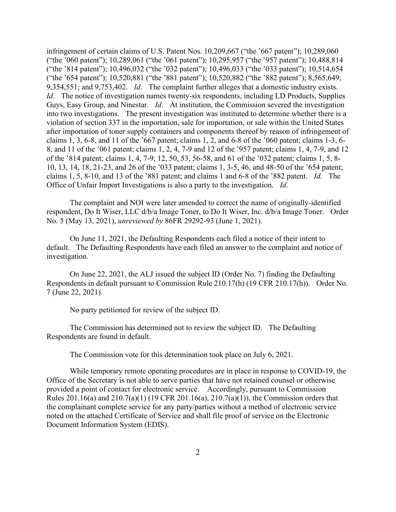infringement of certain claims of U.S. Patent Nos. 10,209,667 ("the '667 patent"); 10,289,060 ("the '060 patent"); 10,289,061 ("the '061 patent"); 10,295,957 ("the '957 patent"); 10,488,814 ("the '814 patent"); 10,496,032 ("the '032 patent"); 10,496,033 ("the '033 patent"); 10,514,654 ("the '654 patent"); 10,520,881 ("the '881 patent"); 10,520,882 ("the '882 patent"); 8,565,649; 9,354,551; and 9,753,402. *Id*. The complaint further alleges that a domestic industry exists. *Id.* The notice of investigation names twenty-six respondents, including LD Products, Supplies Guys, Easy Group, and Ninestar. *Id*. At institution, the Commission severed the investigation into two investigations. The present investigation was instituted to determine whether there is a violation of section 337 in the importation, sale for importation, or sale within the United States after importation of toner supply containers and components thereof by reason of infringement of claims 1, 3, 6-8, and 11 of the '667 patent; claims 1, 2, and 6-8 of the '060 patent; claims 1-3, 6- 8, and 11 of the '061 patent; claims 1, 2, 4, 7-9 and 12 of the '957 patent; claims 1, 4, 7-9, and 12 of the '814 patent; claims 1, 4, 7-9, 12, 50, 53, 56-58, and 61 of the '032 patent; claims 1, 5, 8- 10, 13, 14, 18, 21-23, and 26 of the '033 patent; claims 1, 3-5, 46, and 48-50 of the '654 patent; claims 1, 5, 8-10, and 13 of the '881 patent; and claims 1 and 6-8 of the '882 patent. *Id.* The Office of Unfair Import Investigations is also a party to the investigation. *Id*.

The complaint and NOI were later amended to correct the name of originally-identified respondent, Do It Wiser, LLC d/b/a Image Toner, to Do It Wiser, Inc. d/b/a Image Toner. Order No. 5 (May 13, 2021), *unreviewed by* 86FR 29292-93 (June 1, 2021).

On June 11, 2021, the Defaulting Respondents each filed a notice of their intent to default. The Defaulting Respondents have each filed an answer to the complaint and notice of investigation.

On June 22, 2021, the ALJ issued the subject ID (Order No. 7) finding the Defaulting Respondents in default pursuant to Commission Rule 210.17(h) (19 CFR 210.17(h)). Order No. 7 (June 22, 2021).

No party petitioned for review of the subject ID.

The Commission has determined not to review the subject ID. The Defaulting Respondents are found in default.

The Commission vote for this determination took place on July 6, 2021.

While temporary remote operating procedures are in place in response to COVID-19, the Office of the Secretary is not able to serve parties that have not retained counsel or otherwise provided a point of contact for electronic service. Accordingly, pursuant to Commission Rules 201.16(a) and 210.7(a)(1) (19 CFR 201.16(a), 210.7(a)(1)), the Commission orders that the complainant complete service for any party/parties without a method of electronic service noted on the attached Certificate of Service and shall file proof of service on the Electronic Document Information System (EDIS).